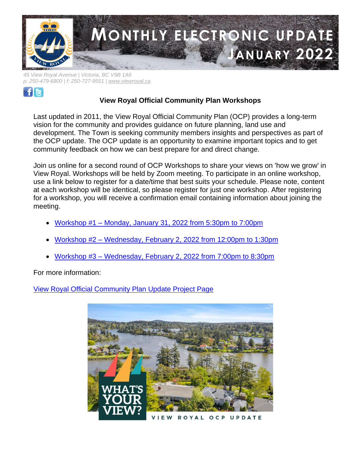

*45 View Royal Avenue | Victoria, BC V9B 1A6 p: 250-479-6800 | f: 250-727-9551 | [www.viewroyal.ca](http://www.viewroyal.ca/)*



# **View Royal Official Community Plan Workshops**

Last updated in 2011, the View Royal Official Community Plan (OCP) provides a long-term vision for the community and provides guidance on future planning, land use and development. The Town is seeking community members insights and perspectives as part of the OCP update. The OCP update is an opportunity to examine important topics and to get community feedback on how we can best prepare for and direct change.

Join us online for a second round of OCP Workshops to share your views on 'how we grow' in View Royal. Workshops will be held by Zoom meeting. To participate in an online workshop, use a link below to register for a date/time that best suits your schedule. Please note, content at each workshop will be identical, so please register for just one workshop. After registering for a workshop, you will receive a confirmation email containing information about joining the meeting.

- Workshop #1 [Monday, January 31, 2022 from 5:30pm to 7:00pm](https://us02web.zoom.us/meeting/register/tZMvd--orzIvH9DSikLhU5-RHGf_G37qP1vX)
- Workshop #2 [Wednesday, February 2, 2022 from 12:00pm to 1:30pm](https://us02web.zoom.us/meeting/register/tZMsduqrpzkqGNICTE7Lgmjuj5-YPcjcPKy8)
- Workshop #3 [Wednesday, February 2, 2022 from 7:00pm to 8:30pm](https://us02web.zoom.us/meeting/register/tZAoc--prjoqHtKZDekMKRkNH1s8KZWPy8ce)

For more information:

[View Royal Official Community Plan Update Project Page](https://www.viewroyal.ca/EN/main/town/projects/official-community-plan-update.html)

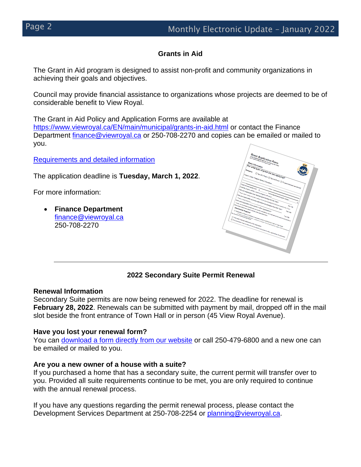## **Grants in Aid**

The Grant in Aid program is designed to assist non-profit and community organizations in achieving their goals and objectives.

Council may provide financial assistance to organizations whose projects are deemed to be of considerable benefit to View Royal.

The Grant in Aid Policy and Application Forms are available at <https://www.viewroyal.ca/EN/main/municipal/grants-in-aid.html> or contact the Finance Department [finance@viewroyal.ca](mailto:finance@viewroyal.ca) or 250-708-2270 and copies can be emailed or mailed to you.

Requirements [and detailed information](https://www.viewroyal.ca/EN/main/municipal/grants-in-aid.html)

The application deadline is **Tuesday, March 1, 2022**.

For more information:

• **Finance Department** [finance@viewroyal.ca](mailto:finance@viewroyal.ca) 250-708-2270



### **2022 Secondary Suite Permit Renewal**

#### **Renewal Information**

Secondary Suite permits are now being renewed for 2022. The deadline for renewal is **February 28, 2022**. Renewals can be submitted with payment by mail, dropped off in the mail slot beside the front entrance of Town Hall or in person (45 View Royal Avenue).

#### **Have you lost your renewal form?**

You can [download a form directly from our website](https://www.viewroyal.ca/assets/Town~Hall/Documents-Forms/Building-Bylaw/Secondary%20Suite%20Renewal%20%20Form.pdf) or call 250-479-6800 and a new one can be emailed or mailed to you.

#### **Are you a new owner of a house with a suite?**

If you purchased a home that has a secondary suite, the current permit will transfer over to you. Provided all suite requirements continue to be met, you are only required to continue with the annual renewal process.

If you have any questions regarding the permit renewal process, please contact the Development Services Department at 250-708-2254 or [planning@viewroyal.ca.](mailto:planning@viewroyal.ca)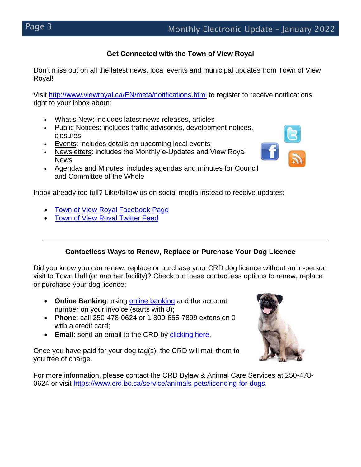## **Get Connected with the Town of View Royal**

Don't miss out on all the latest news, local events and municipal updates from Town of View Royal!

Visit<http://www.viewroyal.ca/EN/meta/notifications.html> to register to receive notifications right to your inbox about:

- What's New: includes latest news releases, articles
- Public Notices: includes traffic advisories, development notices, closures
- Events: includes details on upcoming local events
- Newsletters: includes the Monthly e-Updates and View Royal **News**
- Agendas and Minutes: includes agendas and minutes for Council and Committee of the Whole

Inbox already too full? Like/follow us on social media instead to receive updates:

- [Town of View Royal Facebook Page](http://www.facebook.com/townofviewroyal)
- [Town of View Royal Twitter Feed](http://www.twitter.com/townofviewroyal)

## **Contactless Ways to Renew, Replace or Purchase Your Dog Licence**

Did you know you can renew, replace or purchase your CRD dog licence without an in-person visit to Town Hall (or another facility)? Check out these contactless options to renew, replace or purchase your dog licence:

- **Online Banking**: using [online banking](https://www.crd.bc.ca/service/animals-pets/licencing-for-dogs/online-payments) and the account number on your invoice (starts with 8);
- **Phone**: call 250-478-0624 or 1-800-665-7899 extension 0 with a credit card;
- **Email**: send an email to the CRD by [clicking here.](https://www.crd.bc.ca/contact-us?r=dog-licencing)

Once you have paid for your dog tag(s), the CRD will mail them to you free of charge.



For more information, please contact the CRD Bylaw & Animal Care Services at 250-478- 0624 or visit [https://www.crd.bc.ca/service/animals-pets/licencing-for-dogs.](https://www.crd.bc.ca/service/animals-pets/licencing-for-dogs)

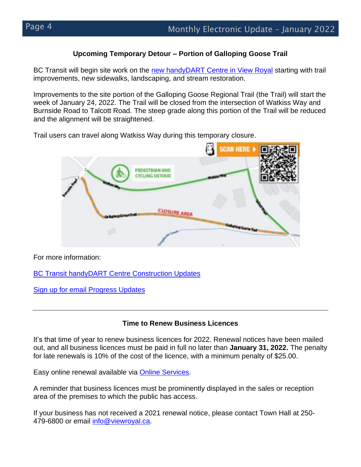## **Upcoming Temporary Detour – Portion of Galloping Goose Trail**

BC Transit will begin site work on the [new handyDART Centre in View Royal](https://www.bctransit.com/handyDARTcentre) starting with trail improvements, new sidewalks, landscaping, and stream restoration.

Improvements to the site portion of the Galloping Goose Regional Trail (the Trail) will start the week of January 24, 2022. The Trail will be closed from the intersection of Watkiss Way and Burnside Road to Talcott Road. The steep grade along this portion of the Trail will be reduced and the alignment will be straightened.

Trail users can travel along Watkiss Way during this temporary closure.



For more information:

**[BC Transit handyDART Centre Construction Updates](https://www.bctransit.com/victoria/handydart/construction-updates)** 

[Sign up for email Progress Updates](https://www.bctransit.com/viewroyal/handydart)

## **Time to Renew Business Licences**

It's that time of year to renew business licences for 2022. Renewal notices have been mailed out, and all business licences must be paid in full no later than **January 31, 2022.** The penalty for late renewals is 10% of the cost of the licence, with a minimum penalty of \$25.00.

Easy online renewal available via [Online Services.](https://secure.viewroyal.ca:9191/)

A reminder that business licences must be prominently displayed in the sales or reception area of the premises to which the public has access.

If your business has not received a 2021 renewal notice, please contact Town Hall at 250- 479-6800 or email [info@viewroyal.ca.](mailto:info@viewroyal.ca)